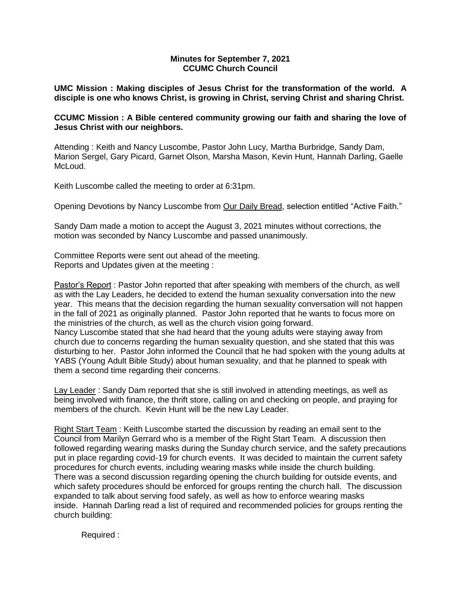## **Minutes for September 7, 2021 CCUMC Church Council**

**UMC Mission : Making disciples of Jesus Christ for the transformation of the world. A disciple is one who knows Christ, is growing in Christ, serving Christ and sharing Christ.**

## **CCUMC Mission : A Bible centered community growing our faith and sharing the love of Jesus Christ with our neighbors.**

Attending : Keith and Nancy Luscombe, Pastor John Lucy, Martha Burbridge, Sandy Dam, Marion Sergel, Gary Picard, Garnet Olson, Marsha Mason, Kevin Hunt, Hannah Darling, Gaelle McLoud.

Keith Luscombe called the meeting to order at 6:31pm.

Opening Devotions by Nancy Luscombe from Our Daily Bread, selection entitled "Active Faith."

Sandy Dam made a motion to accept the August 3, 2021 minutes without corrections, the motion was seconded by Nancy Luscombe and passed unanimously.

Committee Reports were sent out ahead of the meeting. Reports and Updates given at the meeting :

Pastor's Report : Pastor John reported that after speaking with members of the church, as well as with the Lay Leaders, he decided to extend the human sexuality conversation into the new year. This means that the decision regarding the human sexuality conversation will not happen in the fall of 2021 as originally planned. Pastor John reported that he wants to focus more on the ministries of the church, as well as the church vision going forward. Nancy Luscombe stated that she had heard that the young adults were staying away from church due to concerns regarding the human sexuality question, and she stated that this was disturbing to her. Pastor John informed the Council that he had spoken with the young adults at YABS (Young Adult Bible Study) about human sexuality, and that he planned to speak with them a second time regarding their concerns.

Lay Leader : Sandy Dam reported that she is still involved in attending meetings, as well as being involved with finance, the thrift store, calling on and checking on people, and praying for members of the church. Kevin Hunt will be the new Lay Leader.

Right Start Team : Keith Luscombe started the discussion by reading an email sent to the Council from Marilyn Gerrard who is a member of the Right Start Team. A discussion then followed regarding wearing masks during the Sunday church service, and the safety precautions put in place regarding covid-19 for church events. It was decided to maintain the current safety procedures for church events, including wearing masks while inside the church building. There was a second discussion regarding opening the church building for outside events, and which safety procedures should be enforced for groups renting the church hall. The discussion expanded to talk about serving food safely, as well as how to enforce wearing masks inside. Hannah Darling read a list of required and recommended policies for groups renting the church building:

Required :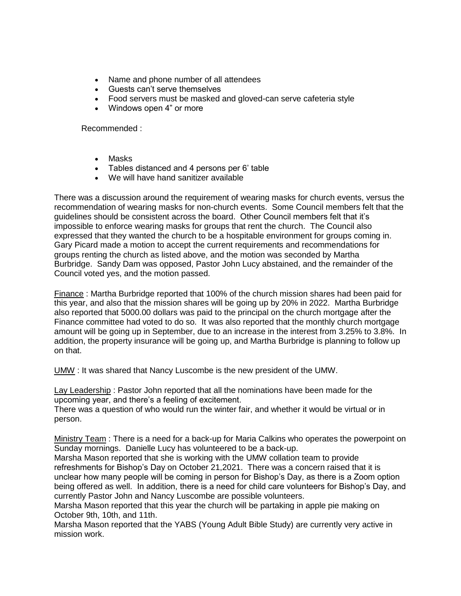- Name and phone number of all attendees
- Guests can't serve themselves
- Food servers must be masked and gloved-can serve cafeteria style
- Windows open 4" or more

Recommended :

- Masks
- Tables distanced and 4 persons per 6' table
- We will have hand sanitizer available

There was a discussion around the requirement of wearing masks for church events, versus the recommendation of wearing masks for non-church events. Some Council members felt that the guidelines should be consistent across the board. Other Council members felt that it's impossible to enforce wearing masks for groups that rent the church. The Council also expressed that they wanted the church to be a hospitable environment for groups coming in. Gary Picard made a motion to accept the current requirements and recommendations for groups renting the church as listed above, and the motion was seconded by Martha Burbridge. Sandy Dam was opposed, Pastor John Lucy abstained, and the remainder of the Council voted yes, and the motion passed.

Finance : Martha Burbridge reported that 100% of the church mission shares had been paid for this year, and also that the mission shares will be going up by 20% in 2022. Martha Burbridge also reported that 5000.00 dollars was paid to the principal on the church mortgage after the Finance committee had voted to do so. It was also reported that the monthly church mortgage amount will be going up in September, due to an increase in the interest from 3.25% to 3.8%. In addition, the property insurance will be going up, and Martha Burbridge is planning to follow up on that.

UMW : It was shared that Nancy Luscombe is the new president of the UMW.

Lay Leadership : Pastor John reported that all the nominations have been made for the upcoming year, and there's a feeling of excitement.

There was a question of who would run the winter fair, and whether it would be virtual or in person.

Ministry Team : There is a need for a back-up for Maria Calkins who operates the powerpoint on Sunday mornings. Danielle Lucy has volunteered to be a back-up.

Marsha Mason reported that she is working with the UMW collation team to provide refreshments for Bishop's Day on October 21,2021. There was a concern raised that it is unclear how many people will be coming in person for Bishop's Day, as there is a Zoom option being offered as well. In addition, there is a need for child care volunteers for Bishop's Day, and currently Pastor John and Nancy Luscombe are possible volunteers.

Marsha Mason reported that this year the church will be partaking in apple pie making on October 9th, 10th, and 11th.

Marsha Mason reported that the YABS (Young Adult Bible Study) are currently very active in mission work.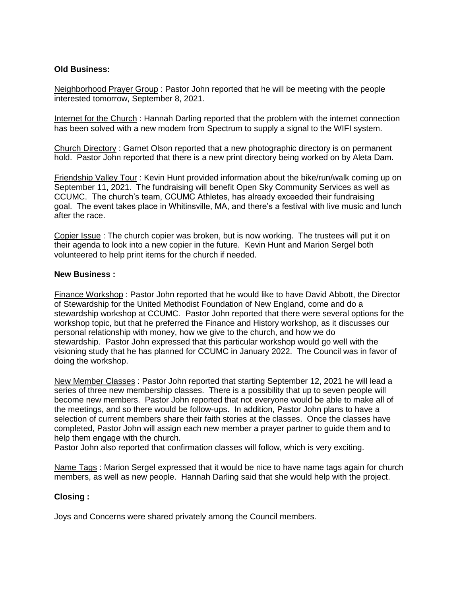# **Old Business:**

Neighborhood Prayer Group : Pastor John reported that he will be meeting with the people interested tomorrow, September 8, 2021.

Internet for the Church : Hannah Darling reported that the problem with the internet connection has been solved with a new modem from Spectrum to supply a signal to the WIFI system.

Church Directory : Garnet Olson reported that a new photographic directory is on permanent hold. Pastor John reported that there is a new print directory being worked on by Aleta Dam.

Friendship Valley Tour: Kevin Hunt provided information about the bike/run/walk coming up on September 11, 2021. The fundraising will benefit Open Sky Community Services as well as CCUMC. The church's team, CCUMC Athletes, has already exceeded their fundraising goal. The event takes place in Whitinsville, MA, and there's a festival with live music and lunch after the race.

Copier Issue : The church copier was broken, but is now working. The trustees will put it on their agenda to look into a new copier in the future. Kevin Hunt and Marion Sergel both volunteered to help print items for the church if needed.

### **New Business :**

Finance Workshop : Pastor John reported that he would like to have David Abbott, the Director of Stewardship for the United Methodist Foundation of New England, come and do a stewardship workshop at CCUMC. Pastor John reported that there were several options for the workshop topic, but that he preferred the Finance and History workshop, as it discusses our personal relationship with money, how we give to the church, and how we do stewardship. Pastor John expressed that this particular workshop would go well with the visioning study that he has planned for CCUMC in January 2022. The Council was in favor of doing the workshop.

New Member Classes : Pastor John reported that starting September 12, 2021 he will lead a series of three new membership classes. There is a possibility that up to seven people will become new members. Pastor John reported that not everyone would be able to make all of the meetings, and so there would be follow-ups. In addition, Pastor John plans to have a selection of current members share their faith stories at the classes. Once the classes have completed, Pastor John will assign each new member a prayer partner to guide them and to help them engage with the church.

Pastor John also reported that confirmation classes will follow, which is very exciting.

Name Tags : Marion Sergel expressed that it would be nice to have name tags again for church members, as well as new people. Hannah Darling said that she would help with the project.

### **Closing :**

Joys and Concerns were shared privately among the Council members.